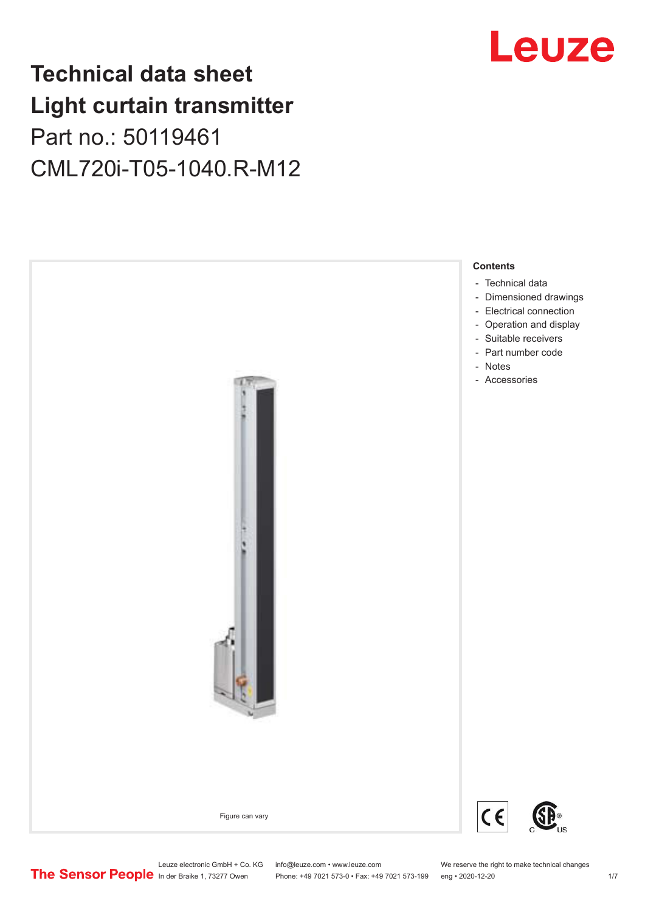## **Technical data sheet Light curtain transmitter** Part no.: 50119461 CML720i-T05-1040.R-M12



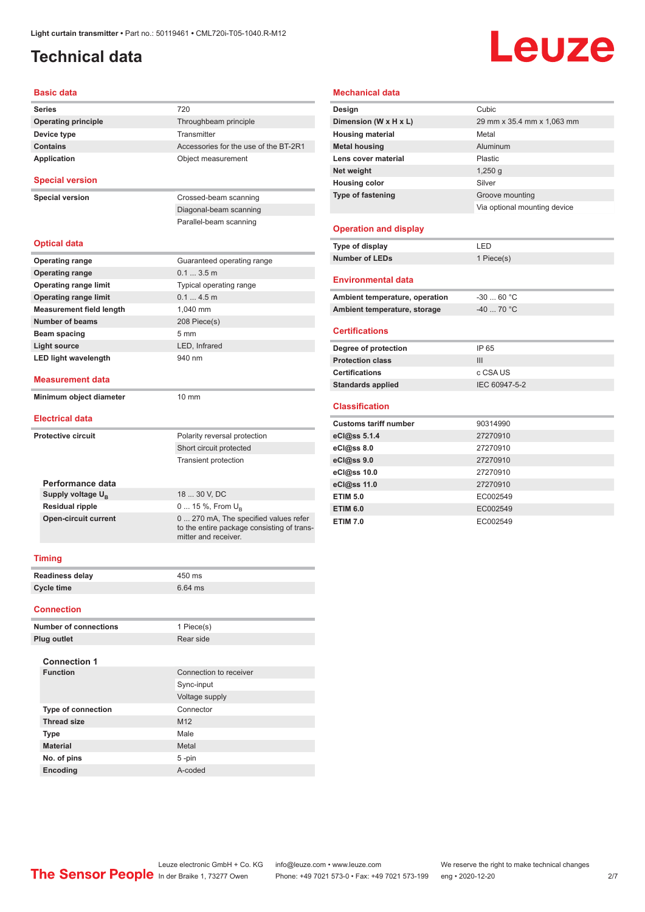## <span id="page-1-0"></span>**Technical data**

# Leuze

#### **Basic data**

| <b>Series</b>                   | 720                                                                |
|---------------------------------|--------------------------------------------------------------------|
| <b>Operating principle</b>      | Throughbeam principle                                              |
| Device type                     | Transmitter                                                        |
| <b>Contains</b>                 | Accessories for the use of the BT-2R1                              |
| Application                     | Object measurement                                                 |
| <b>Special version</b>          |                                                                    |
| <b>Special version</b>          | Crossed-beam scanning                                              |
|                                 | Diagonal-beam scanning                                             |
|                                 | Parallel-beam scanning                                             |
| <b>Optical data</b>             |                                                                    |
| <b>Operating range</b>          | Guaranteed operating range                                         |
| <b>Operating range</b>          | 0.1  3.5 m                                                         |
| <b>Operating range limit</b>    | Typical operating range                                            |
| <b>Operating range limit</b>    | 0.14.5m                                                            |
| <b>Measurement field length</b> | 1,040 mm                                                           |
| <b>Number of beams</b>          | 208 Piece(s)                                                       |
| Beam spacing                    | $5 \text{ mm}$                                                     |
| Light source                    | LED, Infrared                                                      |
| <b>LED light wavelength</b>     | 940 nm                                                             |
| <b>Measurement data</b>         |                                                                    |
| Minimum object diameter         | $10 \text{ mm}$                                                    |
| <b>Electrical data</b>          |                                                                    |
|                                 |                                                                    |
| <b>Protective circuit</b>       | Polarity reversal protection                                       |
|                                 | Short circuit protected                                            |
|                                 | <b>Transient protection</b>                                        |
| Performance data                |                                                                    |
| Supply voltage U <sub>B</sub>   | 18  30 V, DC                                                       |
| <b>Residual ripple</b>          | 0  15 %, From U <sub>B</sub>                                       |
| <b>Open-circuit current</b>     | 0  270 mA, The specified values refer                              |
|                                 | to the entire package consisting of trans-<br>mitter and receiver. |
| <b>Timing</b>                   |                                                                    |
|                                 | 450 ms                                                             |
| <b>Readiness delay</b>          |                                                                    |
| <b>Cycle time</b>               | 6.64 ms                                                            |
| <b>Connection</b>               |                                                                    |
|                                 | $\triangle$ Dissa $(n)$                                            |

| <b>Number of connections</b> | 1 Piece(s)             |
|------------------------------|------------------------|
| Plug outlet                  | Rear side              |
|                              |                        |
| <b>Connection 1</b>          |                        |
| <b>Function</b>              | Connection to receiver |
|                              | Sync-input             |
|                              | Voltage supply         |
| <b>Type of connection</b>    | Connector              |
| <b>Thread size</b>           | M <sub>12</sub>        |
| <b>Type</b>                  | Male                   |
| <b>Material</b>              | Metal                  |
| No. of pins                  | $5 - pin$              |
| <b>Encoding</b>              | A-coded                |

#### **Mechanical data**

| Design                       | Cubic                        |
|------------------------------|------------------------------|
| Dimension (W x H x L)        | 29 mm x 35.4 mm x 1,063 mm   |
| <b>Housing material</b>      | Metal                        |
| <b>Metal housing</b>         | Aluminum                     |
| Lens cover material          | Plastic                      |
| Net weight                   | $1,250$ q                    |
| <b>Housing color</b>         | Silver                       |
| <b>Type of fastening</b>     | Groove mounting              |
|                              | Via optional mounting device |
|                              |                              |
| <b>Operation and display</b> |                              |
| Type of display              | LED                          |

#### $\overline{a}$

| Type of display | l ED.      |
|-----------------|------------|
| Number of LEDs  | 1 Piece(s) |
|                 |            |

#### **Environmental data**

| Ambient temperature, operation | -30  60 °C                       |
|--------------------------------|----------------------------------|
| Ambient temperature, storage   | $-40$ 70 $^{\circ}$ C $^{\circ}$ |

#### **Certifications**

| Degree of protection     | IP 65         |
|--------------------------|---------------|
| <b>Protection class</b>  | Ш             |
| <b>Certifications</b>    | c CSA US      |
| <b>Standards applied</b> | IEC 60947-5-2 |

#### **Classification**

| <b>Customs tariff number</b> | 90314990 |
|------------------------------|----------|
| eCl@ss 5.1.4                 | 27270910 |
| eCl@ss 8.0                   | 27270910 |
| eCl@ss 9.0                   | 27270910 |
| eCl@ss 10.0                  | 27270910 |
| eCl@ss 11.0                  | 27270910 |
| <b>ETIM 5.0</b>              | EC002549 |
| <b>ETIM 6.0</b>              | EC002549 |
| <b>ETIM 7.0</b>              | EC002549 |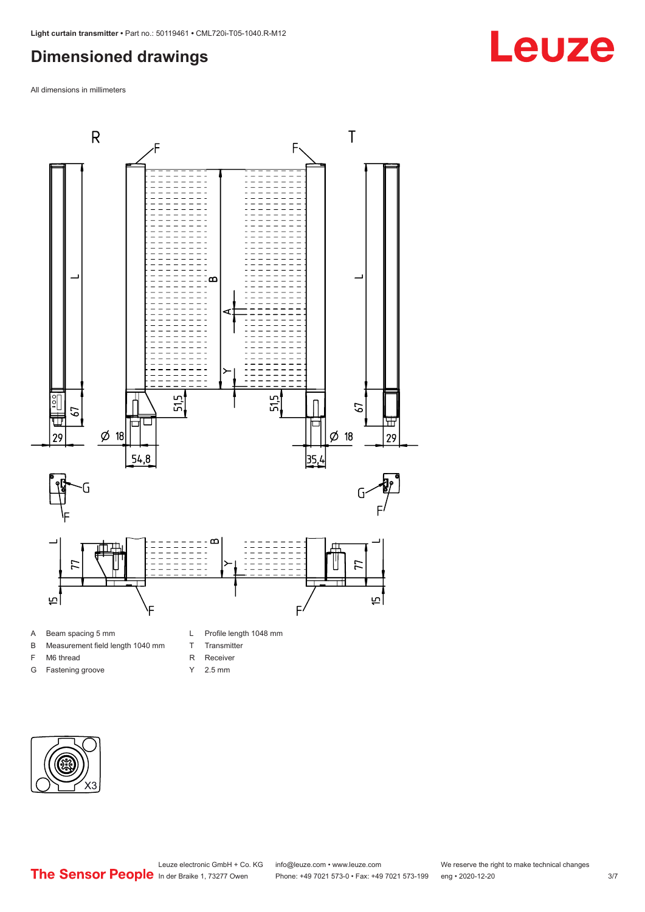### <span id="page-2-0"></span>**Dimensioned drawings**

All dimensions in millimeters



- A Beam spacing 5 mm
- B Measurement field length 1040 mm
- F M6 thread
- G Fastening groove
- 
- T Transmitter
- R Receiver
- Y 2.5 mm



## **Leuze**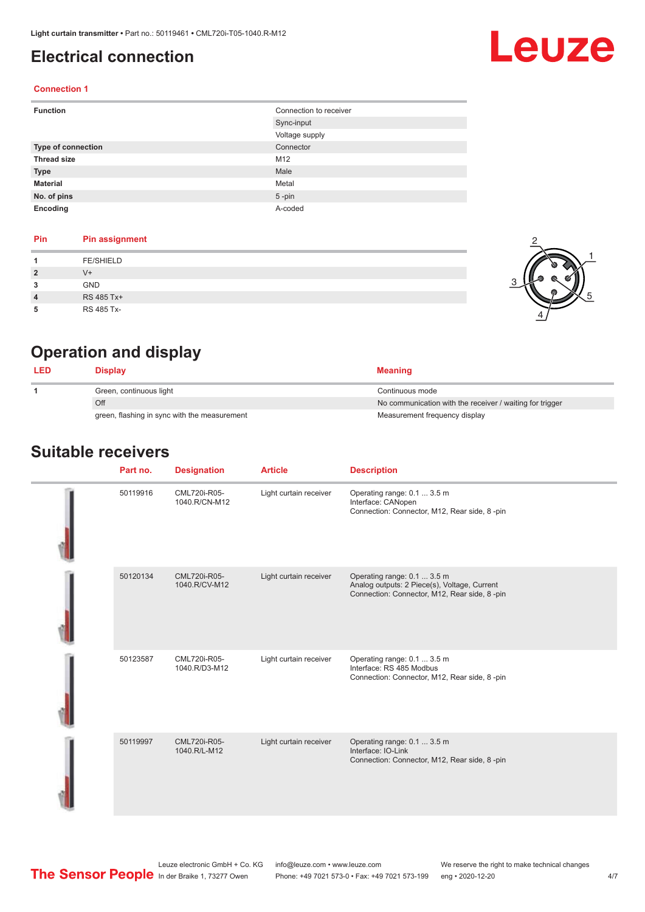## <span id="page-3-0"></span>**Electrical connection**

# Leuze

2

1

5

#### **Connection 1**

| <b>Function</b>    | Connection to receiver |
|--------------------|------------------------|
|                    | Sync-input             |
|                    | Voltage supply         |
| Type of connection | Connector              |
| <b>Thread size</b> | M12                    |
| <b>Type</b>        | Male                   |
| <b>Material</b>    | Metal                  |
| No. of pins        | $5$ -pin               |
| Encoding           | A-coded                |

#### **Pin Pin assignment**

|                | <b>FE/SHIELD</b> |  |
|----------------|------------------|--|
| $\overline{2}$ | V+               |  |
| 3              | <b>GND</b>       |  |
| $\overline{4}$ | RS 485 Tx+       |  |
| 5              | RS 485 Tx-       |  |

## **Operation and display**

| <b>LED</b>              | Display                                      | <b>Meaning</b>                                           |
|-------------------------|----------------------------------------------|----------------------------------------------------------|
| Green, continuous light |                                              | Continuous mode                                          |
|                         | Off                                          | No communication with the receiver / waiting for trigger |
|                         | green, flashing in sync with the measurement | Measurement frequency display                            |

#### **Suitable receivers**

| Part no. | <b>Designation</b>            | <b>Article</b>         | <b>Description</b>                                                                                                          |
|----------|-------------------------------|------------------------|-----------------------------------------------------------------------------------------------------------------------------|
| 50119916 | CML720i-R05-<br>1040.R/CN-M12 | Light curtain receiver | Operating range: 0.1  3.5 m<br>Interface: CANopen<br>Connection: Connector, M12, Rear side, 8-pin                           |
| 50120134 | CML720i-R05-<br>1040.R/CV-M12 | Light curtain receiver | Operating range: 0.1  3.5 m<br>Analog outputs: 2 Piece(s), Voltage, Current<br>Connection: Connector, M12, Rear side, 8-pin |
| 50123587 | CML720i-R05-<br>1040.R/D3-M12 | Light curtain receiver | Operating range: 0.1  3.5 m<br>Interface: RS 485 Modbus<br>Connection: Connector, M12, Rear side, 8-pin                     |
| 50119997 | CML720i-R05-<br>1040.R/L-M12  | Light curtain receiver | Operating range: 0.1  3.5 m<br>Interface: IO-Link<br>Connection: Connector, M12, Rear side, 8-pin                           |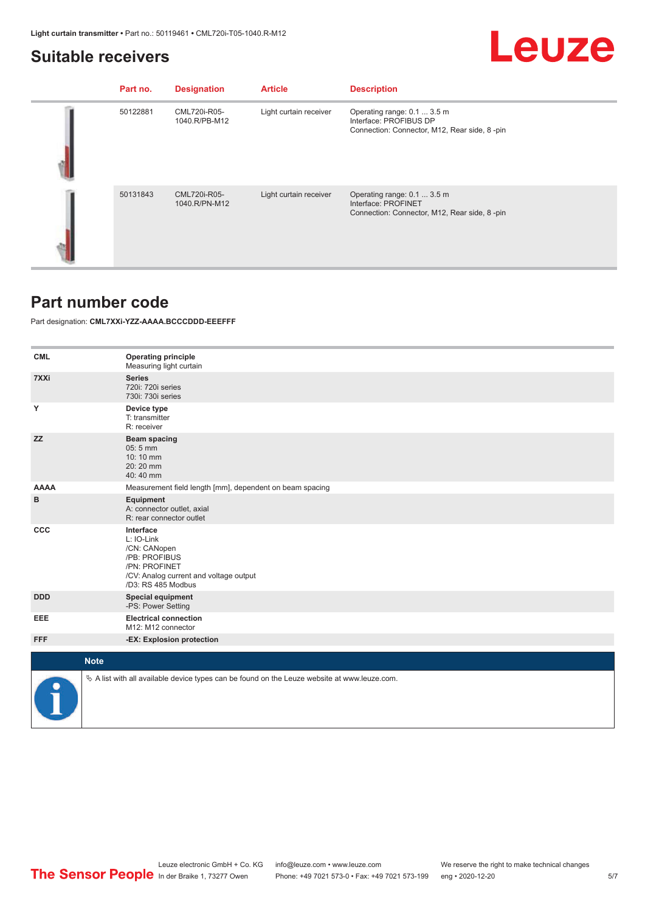#### <span id="page-4-0"></span>**Suitable receivers**

## Leuze

| Part no. | <b>Designation</b>            | <b>Article</b>         | <b>Description</b>                                                                                    |
|----------|-------------------------------|------------------------|-------------------------------------------------------------------------------------------------------|
| 50122881 | CML720i-R05-<br>1040.R/PB-M12 | Light curtain receiver | Operating range: 0.1  3.5 m<br>Interface: PROFIBUS DP<br>Connection: Connector, M12, Rear side, 8-pin |
| 50131843 | CML720i-R05-<br>1040.R/PN-M12 | Light curtain receiver | Operating range: 0.1  3.5 m<br>Interface: PROFINET<br>Connection: Connector, M12, Rear side, 8-pin    |

#### **Part number code**

Part designation: **CML7XXi-YZZ-AAAA.BCCCDDD-EEEFFF**

| <b>CML</b>  | <b>Operating principle</b><br>Measuring light curtain                                                                                     |
|-------------|-------------------------------------------------------------------------------------------------------------------------------------------|
| 7XXi        | <b>Series</b><br>720i: 720i series<br>730i: 730i series                                                                                   |
| Y           | Device type<br>T: transmitter<br>R: receiver                                                                                              |
| <b>ZZ</b>   | <b>Beam spacing</b><br>$05:5$ mm<br>10:10 mm<br>20:20 mm<br>40:40 mm                                                                      |
| <b>AAAA</b> | Measurement field length [mm], dependent on beam spacing                                                                                  |
| в           | Equipment<br>A: connector outlet, axial<br>R: rear connector outlet                                                                       |
| <b>CCC</b>  | Interface<br>L: IO-Link<br>/CN: CANopen<br>/PB: PROFIBUS<br>/PN: PROFINET<br>/CV: Analog current and voltage output<br>/D3: RS 485 Modbus |
| <b>DDD</b>  | <b>Special equipment</b><br>-PS: Power Setting                                                                                            |
| EEE         | <b>Electrical connection</b><br>M12: M12 connector                                                                                        |
| <b>FFF</b>  | -EX: Explosion protection                                                                                                                 |
| <b>Note</b> |                                                                                                                                           |
|             | $\&$ A list with all available device types can be found on the Leuze website at www.leuze.com.                                           |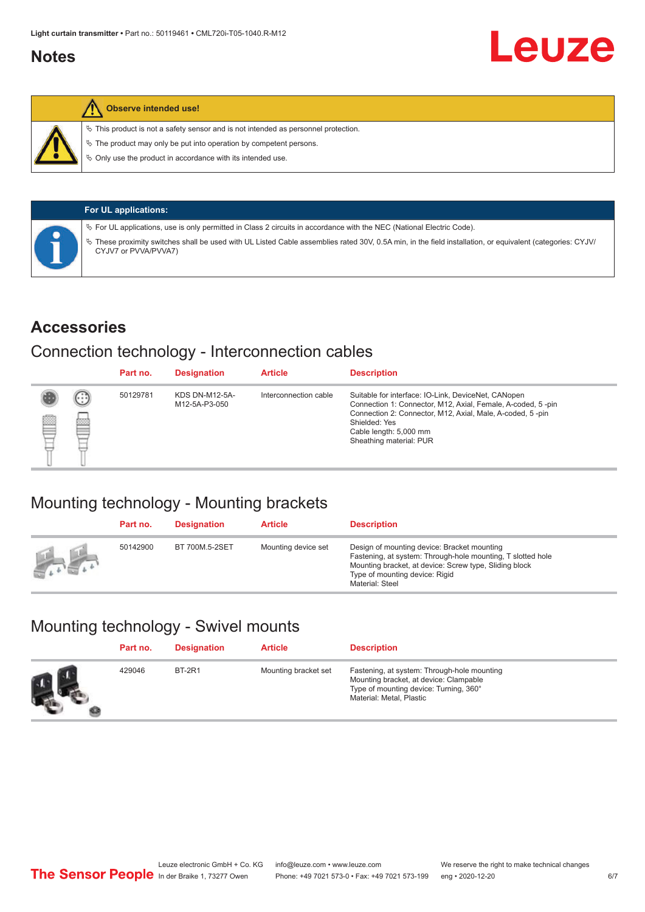### <span id="page-5-0"></span>**Notes**



#### **Observe intended use!**

 $\%$  This product is not a safety sensor and is not intended as personnel protection.

 $\%$  The product may only be put into operation by competent persons.

 $\%$  Only use the product in accordance with its intended use.

| <b>For UL applications:</b>                                                                                                                                                       |
|-----------------------------------------------------------------------------------------------------------------------------------------------------------------------------------|
| $\%$ For UL applications, use is only permitted in Class 2 circuits in accordance with the NEC (National Electric Code).                                                          |
| V These proximity switches shall be used with UL Listed Cable assemblies rated 30V, 0.5A min, in the field installation, or equivalent (categories: CYJV/<br>CYJV7 or PVVA/PVVA7) |

#### **Accessories**

### Connection technology - Interconnection cables

|   |        | Part no. | <b>Designation</b>                     | <b>Article</b>        | <b>Description</b>                                                                                                                                                                                                                                    |
|---|--------|----------|----------------------------------------|-----------------------|-------------------------------------------------------------------------------------------------------------------------------------------------------------------------------------------------------------------------------------------------------|
| Ø | ⊙<br>œ | 50129781 | <b>KDS DN-M12-5A-</b><br>M12-5A-P3-050 | Interconnection cable | Suitable for interface: IO-Link, DeviceNet, CANopen<br>Connection 1: Connector, M12, Axial, Female, A-coded, 5-pin<br>Connection 2: Connector, M12, Axial, Male, A-coded, 5-pin<br>Shielded: Yes<br>Cable length: 5,000 mm<br>Sheathing material: PUR |

## Mounting technology - Mounting brackets

|               | Part no. | <b>Designation</b> | <b>Article</b>      | <b>Description</b>                                                                                                                                                                                                        |
|---------------|----------|--------------------|---------------------|---------------------------------------------------------------------------------------------------------------------------------------------------------------------------------------------------------------------------|
| <b>Altres</b> | 50142900 | BT 700M.5-2SET     | Mounting device set | Design of mounting device: Bracket mounting<br>Fastening, at system: Through-hole mounting, T slotted hole<br>Mounting bracket, at device: Screw type, Sliding block<br>Type of mounting device: Rigid<br>Material: Steel |

## Mounting technology - Swivel mounts

| Part no. | <b>Designation</b> | <b>Article</b>       | <b>Description</b>                                                                                                                                          |
|----------|--------------------|----------------------|-------------------------------------------------------------------------------------------------------------------------------------------------------------|
| 429046   | <b>BT-2R1</b>      | Mounting bracket set | Fastening, at system: Through-hole mounting<br>Mounting bracket, at device: Clampable<br>Type of mounting device: Turning, 360°<br>Material: Metal, Plastic |

Leuze